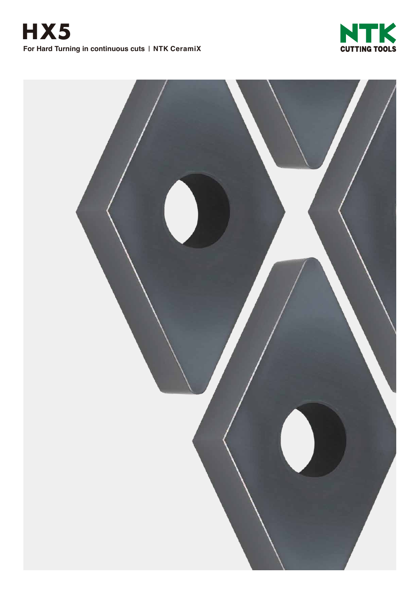

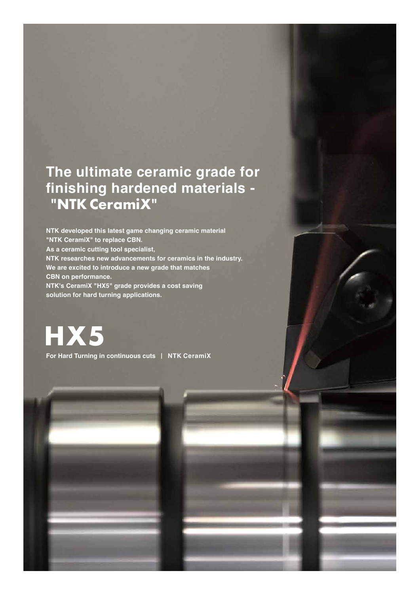## **The ultimate ceramic grade for finishing hardened materials - "NTK CeramiX"**

**NTK developed this latest game changing ceramic material "NTK CeramiX" to replace CBN. As a ceramic cutting tool specialist, NTK researches new advancements for ceramics in the industry. We are excited to introduce a new grade that matches CBN on performance. NTK's CeramiX "HX5" grade provides a cost saving solution for hard turning applications.**

**HX5**

**For Hard Turning in continuous cuts** | **NTK CeramiX**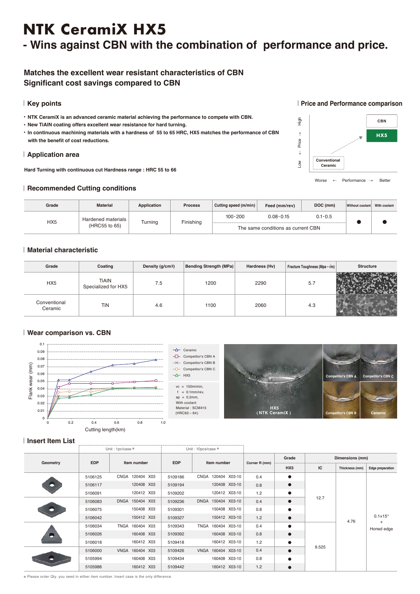# **NTK CeramiX HX5**

### **- Wins against CBN with the combination of performance and price.**

#### **Matches the excellent wear resistant characteristics of CBN Significant cost savings compared to CBN**

#### | **Key points**

- **● NTK CeramiX is an advanced ceramic material achieving the performance to compete with CBN.**
- **● New TiAlN coating offers excellent wear resistance for hard turning.**
- **● In continuous machining materials with a hardness of 55 to 65 HRC, HX5 matches the performance of CBN with the benefit of cost reductions.**

#### | **Application area**

**Hard Turning with continuous cut Hardness range : HRC 55 to 66**

#### | **Recommended Cutting conditions**

| Grade           | <b>Material</b>                     | Application | <b>Process</b> | Cutting speed (m/min) | Feed (mm/rev)                      | DOC (mm)    | Without coolant | With coolant |
|-----------------|-------------------------------------|-------------|----------------|-----------------------|------------------------------------|-------------|-----------------|--------------|
| HX <sub>5</sub> | Hardened materials<br>(HRC55 to 65) | Turning     | Finishing      | $100 - 200$           | $0.08 - 0.15$                      | $0.1 - 0.5$ |                 |              |
|                 |                                     |             |                |                       | The same conditions as current CBN |             |                 |              |

#### | **Material characteristic**

| Grade                   | Coating                             | Density (g/cm <sup>3</sup> ) | Bending Strength (MPa) | Hardness (Hv) | Fracture Toughness (Mpa $\cdot$ $\sqrt{m}$ ) | <b>Structure</b> |
|-------------------------|-------------------------------------|------------------------------|------------------------|---------------|----------------------------------------------|------------------|
| HX5                     | <b>TiAIN</b><br>Specialized for HX5 | 7.5                          | 1200                   | 2290          | 5.7                                          |                  |
| Conventional<br>Ceramic | TiN                                 | 4.6                          | 1100                   | 2060          | 4.3                                          |                  |

#### | **Wear comparison vs. CBN**



#### | **Insert Item List**

|          | Unit: 1pc/case * |                 | Unit: 10pcs/case *        |                    |               |           |                 |                |                                       |
|----------|------------------|-----------------|---------------------------|--------------------|---------------|-----------|-----------------|----------------|---------------------------------------|
| Geometry |                  |                 | <b>EDP</b><br>Item number |                    | Corner R (mm) | Grade     | Dimensions (mm) |                |                                       |
|          | <b>EDP</b>       | Item number     |                           |                    |               | HX5       | IC              | Thickness (mm) | Edge preparation                      |
|          | 5106125          | CNGA 120404 X03 | 5109186                   | CNGA 120404 X03-10 | 0.4           | $\bullet$ | 12.7            | 4.76<br>$+$    |                                       |
|          | 5106117          | 120408 X03      | 5109194                   | 120408 X03-10      | 0.8           | $\bullet$ |                 |                |                                       |
|          | 5106091          | 120412 X03      | 5109202                   | 120412 X03-10      | 1.2           | $\bullet$ |                 |                |                                       |
| m        | 5106083          | DNGA 150404 X03 | 5109236                   | DNGA 150404 X03-10 | 0.4           | $\bullet$ |                 |                | $0.1 \times 15^{\circ}$<br>Honed edge |
|          | 5106075          | 150408 X03      | 5109301                   | 150408 X03-10      | 0.8           | $\bullet$ |                 |                |                                       |
|          | 5106042          | 150412 X03      | 5109327                   | 150412 X03-10      | 1.2           | $\bullet$ |                 |                |                                       |
| m        | 5106034          | TNGA 160404 X03 | 5109343                   | TNGA 160404 X03-10 | 0.4           | $\bullet$ |                 |                |                                       |
|          | 5106026          | 160408 X03      | 5109392                   | 160408 X03-10      | 0.8           | $\bullet$ |                 |                |                                       |
|          | 5106018          | 160412 X03      | 5109418                   | 160412 X03-10      | 1.2           | $\bullet$ |                 |                |                                       |
|          | 5106000          | VNGA 160404 X03 | 5109426                   | VNGA 160404 X03-10 | 0.4           | $\bullet$ | 9.525           |                |                                       |
|          | 5105994          | 160408 X03      | 5109434                   | 160408 X03-10      | 0.8           | $\bullet$ |                 |                |                                       |
|          | 5105986          | 160412 X03      | 5109442                   | 160412 X03-10      | 1.2           | $\bullet$ |                 |                |                                       |

※ Please order Qty. you need in either item number. Insert case is the only difference.

#### | **Price and Performance comparison**